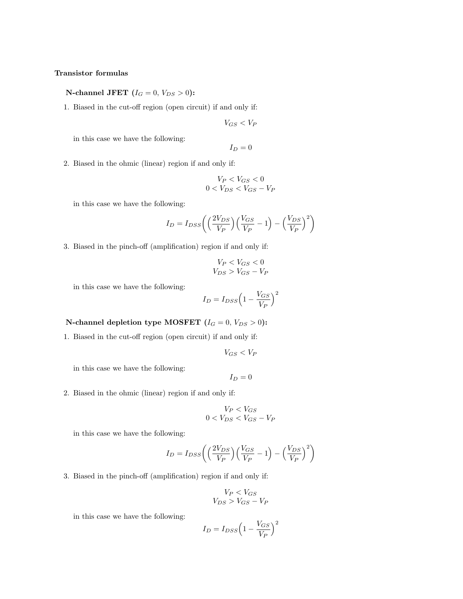## **Transistor formulas**

**N-channel JFET**  $(I_G = 0, V_{DS} > 0)$ :

1. Biased in the cut-off region (open circuit) if and only if:

 $V_{GS} < V_P$ 

in this case we have the following:

 $I_D = 0$ 

2. Biased in the ohmic (linear) region if and only if:

$$
V_P < V_{GS} < 0
$$
\n
$$
0 < V_{DS} < V_{GS} - V_P
$$

in this case we have the following:

$$
I_D = I_{DSS} \left( \left( \frac{2V_{DS}}{V_P} \right) \left( \frac{V_{GS}}{V_P} - 1 \right) - \left( \frac{V_{DS}}{V_P} \right)^2 \right)
$$

3. Biased in the pinch-off (amplification) region if and only if:

$$
V_P < V_{GS} < 0
$$
\n
$$
V_{DS} > V_{GS} - V_P
$$

in this case we have the following:

$$
I_D = I_{DSS} \left( 1 - \frac{V_{GS}}{V_P} \right)^2
$$

## **N-channel depletion type MOSFET**  $(I_G = 0, V_{DS} > 0)$ :

1. Biased in the cut-off region (open circuit) if and only if:

$$
V_{GS} < V_P
$$

in this case we have the following:

$$
I_D=0
$$

2. Biased in the ohmic (linear) region if and only if:

$$
V_P < V_{GS} < 0 < V_{DS} < V_{GS} - V_P
$$

in this case we have the following:

$$
I_D = I_{DSS} \left( \left( \frac{2V_{DS}}{V_P} \right) \left( \frac{V_{GS}}{V_P} - 1 \right) - \left( \frac{V_{DS}}{V_P} \right)^2 \right)
$$

3. Biased in the pinch-off (amplification) region if and only if:

$$
V_P < V_{GS}
$$
\n
$$
V_{DS} > V_{GS} - V_P
$$

$$
I_D = I_{DSS} \left( 1 - \frac{V_{GS}}{V_P} \right)^2
$$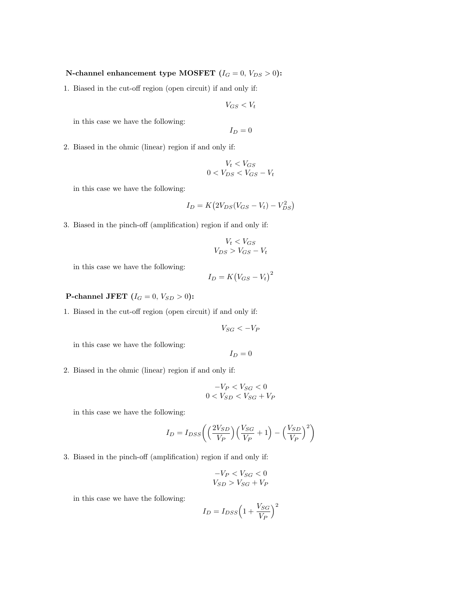## **N-channel enhancement type MOSFET**  $(I_G = 0, V_{DS} > 0)$ :

1. Biased in the cut-off region (open circuit) if and only if:

$$
V_{GS} < V_t
$$

in this case we have the following:

$$
I_D=0
$$

2. Biased in the ohmic (linear) region if and only if:

$$
V_t < V_{GS}
$$
\n
$$
0 < V_{DS} < V_{GS} - V_t
$$

in this case we have the following:

$$
I_D = K \left( 2V_{DS} (V_{GS} - V_t) - V_{DS}^2 \right)
$$

3. Biased in the pinch-off (amplification) region if and only if:

$$
V_t < V_{GS}
$$
\n
$$
V_{DS} > V_{GS} - V_t
$$

in this case we have the following:

$$
I_D = K\big(V_{GS} - V_t\big)^2
$$

**P-channel JFET**  $(I_G = 0, V_{SD} > 0)$ :

1. Biased in the cut-off region (open circuit) if and only if:

$$
V_{SG}<-V_P
$$

in this case we have the following:

$$
I_D=0
$$

2. Biased in the ohmic (linear) region if and only if:

$$
-V_P < V_{SG} < 0
$$
\n
$$
0 < V_{SD} < V_{SG} + V_P
$$

in this case we have the following:

$$
I_D = I_{DSS} \left( \left( \frac{2V_{SD}}{V_P} \right) \left( \frac{V_{SG}}{V_P} + 1 \right) - \left( \frac{V_{SD}}{V_P} \right)^2 \right)
$$

3. Biased in the pinch-off (amplification) region if and only if:

$$
-V_P < V_{SG} < 0
$$
\n
$$
V_{SD} > V_{SG} + V_P
$$

$$
I_D = I_{DSS} \left( 1 + \frac{V_{SG}}{V_P} \right)^2
$$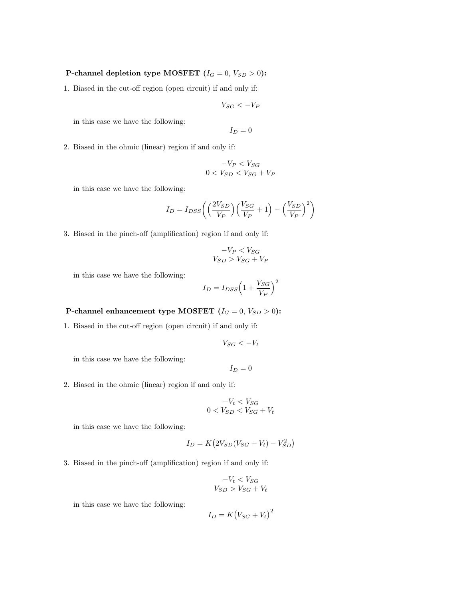## **P-channel depletion type MOSFET (** $I_G = 0$ **,**  $V_{SD} > 0$ **):**

1. Biased in the cut-off region (open circuit) if and only if:

$$
V_{SG}<-V_F
$$

in this case we have the following:

$$
I_D=0
$$

2. Biased in the ohmic (linear) region if and only if:

$$
-V_P < V_{SG}
$$
\n
$$
0 < V_{SD} < V_{SG} + V_P
$$

in this case we have the following:

$$
I_D = I_{DSS} \left( \left( \frac{2V_{SD}}{V_P} \right) \left( \frac{V_{SG}}{V_P} + 1 \right) - \left( \frac{V_{SD}}{V_P} \right)^2 \right)
$$

3. Biased in the pinch-off (amplification) region if and only if:

$$
-V_P < V_{SG}
$$
\n
$$
V_{SD} > V_{SG} + V_P
$$

in this case we have the following:

$$
I_D = I_{DSS} \Big( 1 + \frac{V_{SG}}{V_P} \Big)^2
$$

**P-channel enhancement type MOSFET**  $(I_G = 0, V_{SD} > 0)$ :

1. Biased in the cut-off region (open circuit) if and only if:

$$
V_{SG} < -V_t
$$

in this case we have the following:

$$
I_D=0
$$

2. Biased in the ohmic (linear) region if and only if:

$$
-V_t < V_{SG}
$$
\n
$$
0 < V_{SD} < V_{SG} + V_t
$$

in this case we have the following:

$$
I_D = K \left( 2V_{SD} (V_{SG} + V_t) - V_{SD}^2 \right)
$$

3. Biased in the pinch-off (amplification) region if and only if:

$$
-V_t < V_{SG}
$$
\n
$$
V_{SD} > V_{SG} + V_t
$$

$$
I_D = K(V_{SG} + V_t)^2
$$